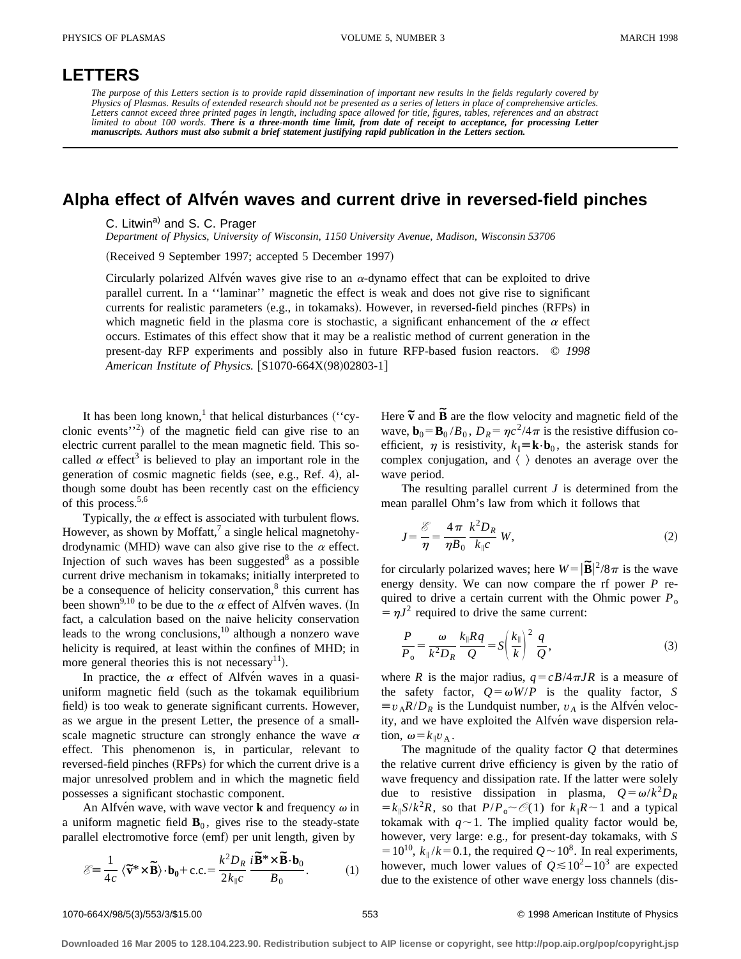## **LETTERS**

*The purpose of this Letters section is to provide rapid dissemination of important new results in the fields regularly covered by Physics of Plasmas. Results of extended research should not be presented as a series of letters in place of comprehensive articles.* Letters cannot exceed three printed pages in length, including space allowed for title, figures, tables, references and an abstract<br>limited to about 100 words. **There is a three-month time limit, from date of receipt to ac** *manuscripts. Authors must also submit a brief statement justifying rapid publication in the Letters section.*

## **Alpha effect of Alfven waves and current drive in reversed-field pinches**

C. Litwin<sup>a)</sup> and S. C. Prager

*Department of Physics, University of Wisconsin, 1150 University Avenue, Madison, Wisconsin 53706*

(Received 9 September 1997; accepted 5 December 1997)

Circularly polarized Alfvén waves give rise to an  $\alpha$ -dynamo effect that can be exploited to drive parallel current. In a ''laminar'' magnetic the effect is weak and does not give rise to significant currents for realistic parameters (e.g., in tokamaks). However, in reversed-field pinches (RFPs) in which magnetic field in the plasma core is stochastic, a significant enhancement of the  $\alpha$  effect occurs. Estimates of this effect show that it may be a realistic method of current generation in the present-day RFP experiments and possibly also in future RFP-based fusion reactors. © *1998 American Institute of Physics.* [S1070-664X(98)02803-1]

It has been long known,<sup>1</sup> that helical disturbances  $("cy$ clonic events'<sup>2</sup>) of the magnetic field can give rise to an electric current parallel to the mean magnetic field. This socalled  $\alpha$  effect<sup>3</sup> is believed to play an important role in the generation of cosmic magnetic fields (see, e.g., Ref. 4), although some doubt has been recently cast on the efficiency of this process.<sup>5,6</sup>

Typically, the  $\alpha$  effect is associated with turbulent flows. However, as shown by Moffatt,<sup>7</sup> a single helical magnetohydrodynamic (MHD) wave can also give rise to the  $\alpha$  effect. Injection of such waves has been suggested $8$  as a possible current drive mechanism in tokamaks; initially interpreted to be a consequence of helicity conservation, $8$  this current has been shown<sup>9,10</sup> to be due to the  $\alpha$  effect of Alfven waves. (In fact, a calculation based on the naive helicity conservation leads to the wrong conclusions, $^{10}$  although a nonzero wave helicity is required, at least within the confines of MHD; in more general theories this is not necessary<sup>11</sup>).

In practice, the  $\alpha$  effect of Alfven waves in a quasiuniform magnetic field (such as the tokamak equilibrium field) is too weak to generate significant currents. However, as we argue in the present Letter, the presence of a smallscale magnetic structure can strongly enhance the wave  $\alpha$ effect. This phenomenon is, in particular, relevant to reversed-field pinches (RFPs) for which the current drive is a major unresolved problem and in which the magnetic field possesses a significant stochastic component.

An Alfven wave, with wave vector **k** and frequency  $\omega$  in a uniform magnetic field  $\mathbf{B}_0$ , gives rise to the steady-state parallel electromotive force (emf) per unit length, given by

$$
\mathcal{E} = \frac{1}{4c} \left\langle \widetilde{\mathbf{v}}^* \times \widetilde{\mathbf{B}} \right\rangle \cdot \mathbf{b}_0 + \text{c.c.} = \frac{k^2 D_R}{2k_{\parallel} c} \frac{i \widetilde{\mathbf{B}}^* \times \widetilde{\mathbf{B}} \cdot \mathbf{b}_0}{B_0}.
$$
 (1)

Here  $\tilde{\mathbf{v}}$  and  $\tilde{\mathbf{B}}$  are the flow velocity and magnetic field of the wave,  $\mathbf{b}_0 = \mathbf{B}_0 / B_0$ ,  $D_R = \eta c^2 / 4\pi$  is the resistive diffusion coefficient,  $\eta$  is resistivity,  $k_{\parallel} \equiv \mathbf{k} \cdot \mathbf{b}_0$ , the asterisk stands for complex conjugation, and  $\langle \ \rangle$  denotes an average over the wave period.

The resulting parallel current *J* is determined from the mean parallel Ohm's law from which it follows that

$$
J = \frac{\mathcal{E}}{\eta} = \frac{4\,\pi}{\eta B_0} \frac{k^2 D_R}{k_{\parallel} c} \, W,\tag{2}
$$

for circularly polarized waves; here  $W = |\mathbf{\bar{B}}|^2/8\pi$  is the wave energy density. We can now compare the rf power *P* required to drive a certain current with the Ohmic power  $P_0$  $= \eta J^2$  required to drive the same current:

$$
\frac{P}{P_o} = \frac{\omega}{k^2 D_R} \frac{k_{\parallel} R q}{Q} = S \left(\frac{k_{\parallel}}{k}\right)^2 \frac{q}{Q},\tag{3}
$$

where *R* is the major radius,  $q = cB/4\pi JR$  is a measure of the safety factor,  $Q = \omega W/P$  is the quality factor, *S*  $\equiv v_A R/D_R$  is the Lundquist number,  $v_A$  is the Alfven velocity, and we have exploited the Alfvén wave dispersion relation,  $\omega = k_{\parallel}v_A$ .

The magnitude of the quality factor *Q* that determines the relative current drive efficiency is given by the ratio of wave frequency and dissipation rate. If the latter were solely due to resistive dissipation in plasma,  $Q = \omega/k^2 D_R$  $= k_{\parallel} S/k^2 R$ , so that  $P/P_0 \sim \mathcal{O}(1)$  for  $k_{\parallel} R \sim 1$  and a typical tokamak with  $q \sim 1$ . The implied quality factor would be, however, very large: e.g., for present-day tokamaks, with *S*  $=10^{10}$ ,  $k_{\parallel}/k=0.1$ , the required  $Q \sim 10^8$ . In real experiments, however, much lower values of  $Q \le 10^2 - 10^3$  are expected due to the existence of other wave energy loss channels (dis-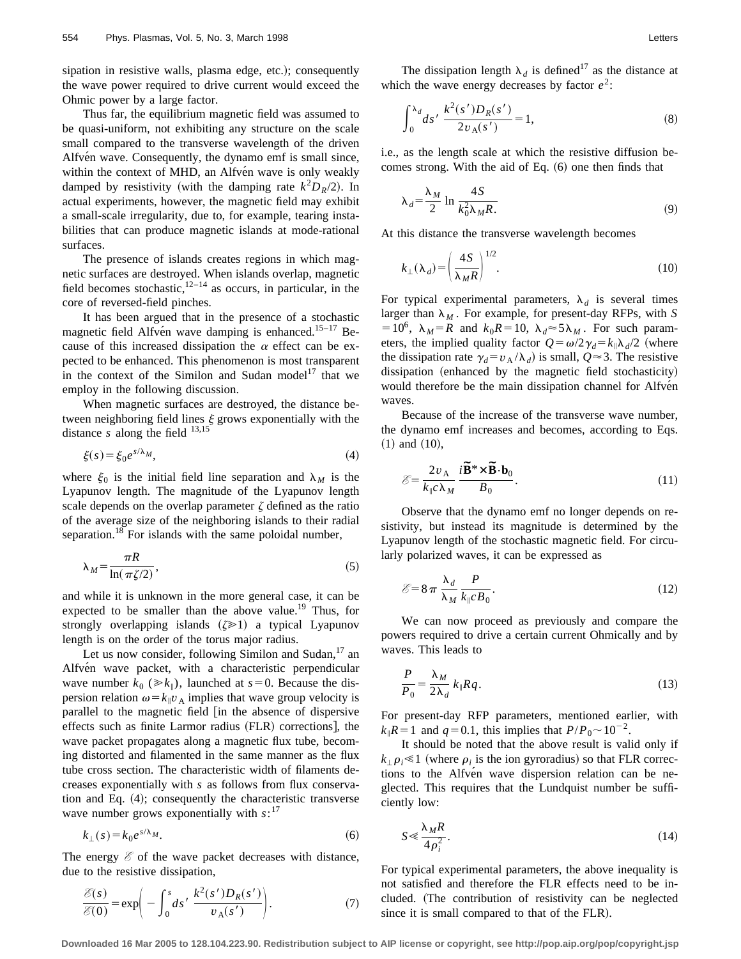sipation in resistive walls, plasma edge, etc.); consequently the wave power required to drive current would exceed the Ohmic power by a large factor.

Thus far, the equilibrium magnetic field was assumed to be quasi-uniform, not exhibiting any structure on the scale small compared to the transverse wavelength of the driven Alfvén wave. Consequently, the dynamo emf is small since, within the context of MHD, an Alfvén wave is only weakly damped by resistivity (with the damping rate  $k^2 D_R/2$ ). In actual experiments, however, the magnetic field may exhibit a small-scale irregularity, due to, for example, tearing instabilities that can produce magnetic islands at mode-rational surfaces.

The presence of islands creates regions in which magnetic surfaces are destroyed. When islands overlap, magnetic field becomes stochastic, $12-14$  as occurs, in particular, in the core of reversed-field pinches.

It has been argued that in the presence of a stochastic magnetic field Alfvén wave damping is enhanced.<sup>15–17</sup> Because of this increased dissipation the  $\alpha$  effect can be expected to be enhanced. This phenomenon is most transparent in the context of the Similon and Sudan model<sup>17</sup> that we employ in the following discussion.

When magnetic surfaces are destroyed, the distance between neighboring field lines  $\xi$  grows exponentially with the distance  $s$  along the field  $^{13,15}$ 

$$
\xi(s) = \xi_0 e^{s/\lambda_M},\tag{4}
$$

where  $\xi_0$  is the initial field line separation and  $\lambda_M$  is the Lyapunov length. The magnitude of the Lyapunov length scale depends on the overlap parameter  $\zeta$  defined as the ratio of the average size of the neighboring islands to their radial separation.<sup>18</sup> For islands with the same poloidal number,

$$
\lambda_M = \frac{\pi R}{\ln(\pi \zeta/2)},\tag{5}
$$

and while it is unknown in the more general case, it can be expected to be smaller than the above value.<sup>19</sup> Thus, for strongly overlapping islands  $(\zeta \ge 1)$  a typical Lyapunov length is on the order of the torus major radius.

Let us now consider, following Similon and Sudan, $^{17}$  an Alfvén wave packet, with a characteristic perpendicular wave number  $k_0$  ( $\ge k_{\parallel}$ ), launched at  $s=0$ . Because the dispersion relation  $\omega = k_{\parallel}v_A$  implies that wave group velocity is parallel to the magnetic field  $\left| \right|$  in the absence of dispersive effects such as finite Larmor radius  $(FLR)$  corrections], the wave packet propagates along a magnetic flux tube, becoming distorted and filamented in the same manner as the flux tube cross section. The characteristic width of filaments decreases exponentially with *s* as follows from flux conservation and Eq.  $(4)$ ; consequently the characteristic transverse wave number grows exponentially with *s*: 17

$$
k_{\perp}(s) = k_0 e^{s/\lambda_M}.
$$
 (6)

The energy  $\mathscr E$  of the wave packet decreases with distance, due to the resistive dissipation,

$$
\frac{\mathcal{E}(s)}{\mathcal{E}(0)} = \exp\left(-\int_0^s ds' \frac{k^2(s')D_R(s')}{v_A(s')} \right).
$$
 (7)

The dissipation length  $\lambda_d$  is defined<sup>17</sup> as the distance at which the wave energy decreases by factor  $e^2$ :

$$
\int_0^{\lambda_d} ds' \frac{k^2(s')D_R(s')}{2v_A(s')} = 1,
$$
\n(8)

i.e., as the length scale at which the resistive diffusion becomes strong. With the aid of Eq.  $(6)$  one then finds that

$$
\lambda_d = \frac{\lambda_M}{2} \ln \frac{4S}{k_0^2 \lambda_M R.}
$$
\n(9)

At this distance the transverse wavelength becomes

$$
k_{\perp}(\lambda_d) = \left(\frac{4S}{\lambda_M R}\right)^{1/2}.\tag{10}
$$

For typical experimental parameters,  $\lambda_d$  is several times larger than  $\lambda_M$ . For example, for present-day RFPs, with *S*  $=10^6$ ,  $\lambda_M=R$  and  $k_0R=10$ ,  $\lambda_d \approx 5\lambda_M$ . For such parameters, the implied quality factor  $Q = \omega/2\gamma_d = k_{\parallel} \lambda_d/2$  (where the dissipation rate  $\gamma_d = v_A / \lambda_d$  is small,  $Q \approx 3$ . The resistive dissipation (enhanced by the magnetic field stochasticity) would therefore be the main dissipation channel for Alfven waves.

Because of the increase of the transverse wave number, the dynamo emf increases and becomes, according to Eqs.  $(1)$  and  $(10)$ ,

$$
\mathcal{E} = \frac{2v_{\rm A}}{k_{\parallel}c\lambda_M} \frac{i\widetilde{\mathbf{B}}^* \times \widetilde{\mathbf{B}} \cdot \mathbf{b}_0}{B_0}.
$$
 (11)

Observe that the dynamo emf no longer depends on resistivity, but instead its magnitude is determined by the Lyapunov length of the stochastic magnetic field. For circularly polarized waves, it can be expressed as

$$
\mathcal{E} = 8\,\pi\,\frac{\lambda_d}{\lambda_M}\,\frac{P}{k_{\parallel}cB_0}.\tag{12}
$$

We can now proceed as previously and compare the powers required to drive a certain current Ohmically and by waves. This leads to

$$
\frac{P}{P_0} = \frac{\lambda_M}{2\lambda_d} k_{\parallel} Rq. \tag{13}
$$

For present-day RFP parameters, mentioned earlier, with  $k_{\parallel}R=1$  and  $q=0.1$ , this implies that  $P/P_0 \sim 10^{-2}$ .

It should be noted that the above result is valid only if  $k_{\perp}$  $\rho_i \ll 1$  (where  $\rho_i$  is the ion gyroradius) so that FLR corrections to the Alfvén wave dispersion relation can be neglected. This requires that the Lundquist number be sufficiently low:

$$
S \ll \frac{\lambda_M R}{4\rho_i^2}.\tag{14}
$$

For typical experimental parameters, the above inequality is not satisfied and therefore the FLR effects need to be included. (The contribution of resistivity can be neglected since it is small compared to that of the FLR).

**Downloaded 16 Mar 2005 to 128.104.223.90. Redistribution subject to AIP license or copyright, see http://pop.aip.org/pop/copyright.jsp**